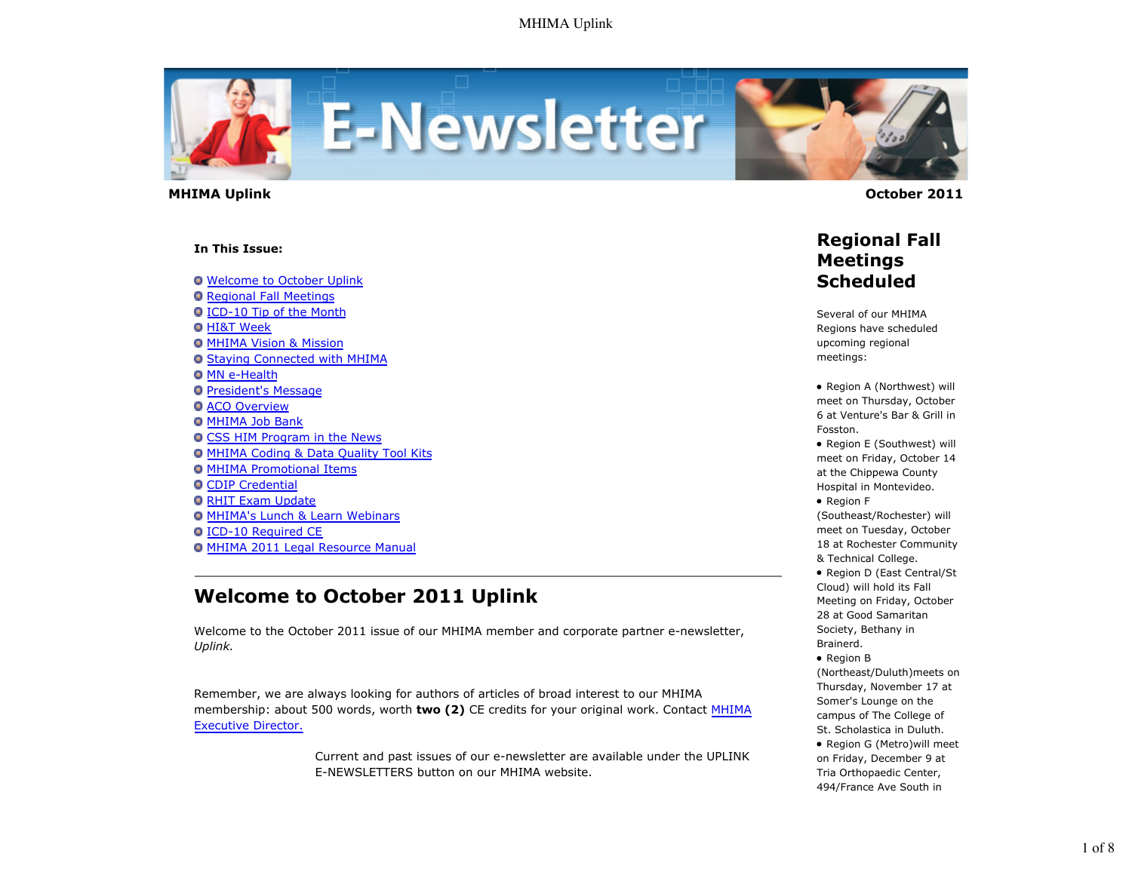

 **MHIMA Uplink October 2011** 

#### **In This Issue:**

Welcome to October Uplink

- **O** Regional Fall Meetings
- ICD-10 Tip of the Month
- **O** HI&T Week
- **O MHIMA Vision & Mission**
- **O Staying Connected with MHIMA**
- **O MN e-Health**
- **President's Message**
- **O ACO Overview**
- **O MHIMA Job Bank**
- **O CSS HIM Program in the News**
- MHIMA Coding & Data Quality Tool Kits
- MHIMA Promotional Items
- **O CDIP Credential**
- **O RHIT Exam Update**
- MHIMA's Lunch & Learn Webinars
- ICD-10 Required CE
- MHIMA 2011 Legal Resource Manual

# **Welcome to October 2011 Uplink**

Welcome to the October 2011 issue of our MHIMA member and corporate partner e-newsletter, *Uplink.*

Remember, we are always looking for authors of articles of broad interest to our MHIMA membership: about 500 words, worth **two (2)** CE credits for your original work. Contact MHIMA Executive Director.

> Current and past issues of our e-newsletter are available under the UPLINK E-NEWSLETTERS button on our MHIMA website.

## **Regional Fall Meetings Scheduled**

Several of our MHIMA Regions have scheduled upcoming regional meetings:

• Region A (Northwest) will meet on Thursday, October 6 at Venture's Bar & Grill in Fosston.

• Region E (Southwest) will meet on Friday, October 14 at the Chippewa County Hospital in Montevideo.

Region F

(Southeast/Rochester) will meet on Tuesday, October 18 at Rochester Community & Technical College.

• Region D (East Central/St Cloud) will hold its Fall Meeting on Friday, October 28 at Good Samaritan Society, Bethany in Brainerd.

• Region B (Northeast/Duluth)meets on Thursday, November 17 at Somer's Lounge on the campus of The College of St. Scholastica in Duluth. Region G (Metro)will meet on Friday, December 9 at Tria Orthopaedic Center, 494/France Ave South in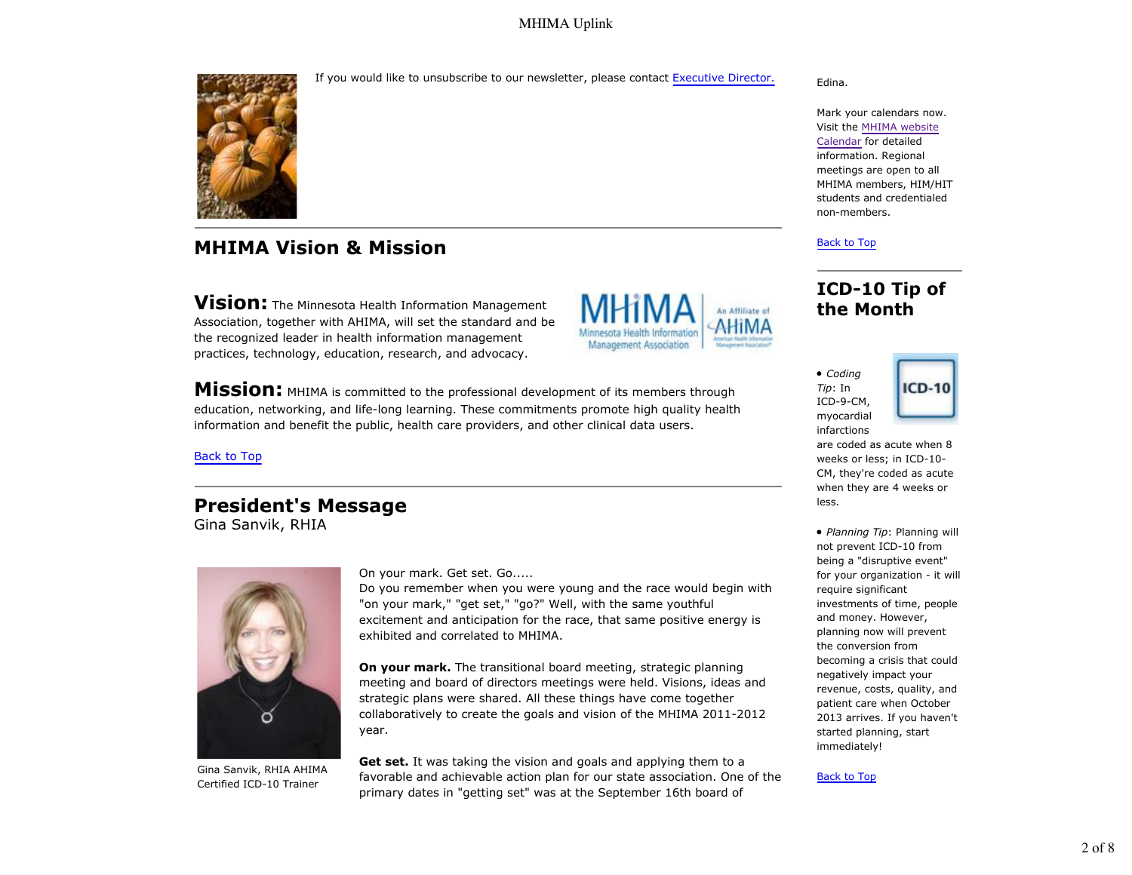If you would like to unsubscribe to our newsletter, please contact Executive Director.



# **MHIMA Vision & Mission**

**Vision:** The Minnesota Health Information Management Association, together with AHIMA, will set the standard and be the recognized leader in health information management practices, technology, education, research, and advocacy.



**Mission:** MHIMA is committed to the professional development of its members through education, networking, and life-long learning. These commitments promote high quality health information and benefit the public, health care providers, and other clinical data users.

#### Back to Top

## **President's Message**

Gina Sanvik, RHIA



Gina Sanvik, RHIA AHIMA Certified ICD-10 Trainer

On your mark. Get set. Go.....

Do you remember when you were young and the race would begin with "on your mark," "get set," "go?" Well, with the same youthful excitement and anticipation for the race, that same positive energy is exhibited and correlated to MHIMA.

**On your mark.** The transitional board meeting, strategic planning meeting and board of directors meetings were held. Visions, ideas and strategic plans were shared. All these things have come together collaboratively to create the goals and vision of the MHIMA 2011-2012 year.

**Get set.** It was taking the vision and goals and applying them to a favorable and achievable action plan for our state association. One of the primary dates in "getting set" was at the September 16th board of

#### Edina.

Mark your calendars now. Visit the MHIMA website Calendar for detailed information. Regional meetings are open to all MHIMA members, HIM/HIT students and credentialed non-members.

#### Back to Top

# **ICD-10 Tip of the Month**





are coded as acute when 8 weeks or less; in ICD-10- CM, they're coded as acute when they are 4 weeks or less.

*Planning Tip*: Planning will not prevent ICD-10 from being a "disruptive event" for your organization - it will require significant investments of time, people and money. However, planning now will prevent the conversion from becoming a crisis that could negatively impact your revenue, costs, quality, and patient care when October 2013 arrives. If you haven't started planning, start immediately!

#### Back to Top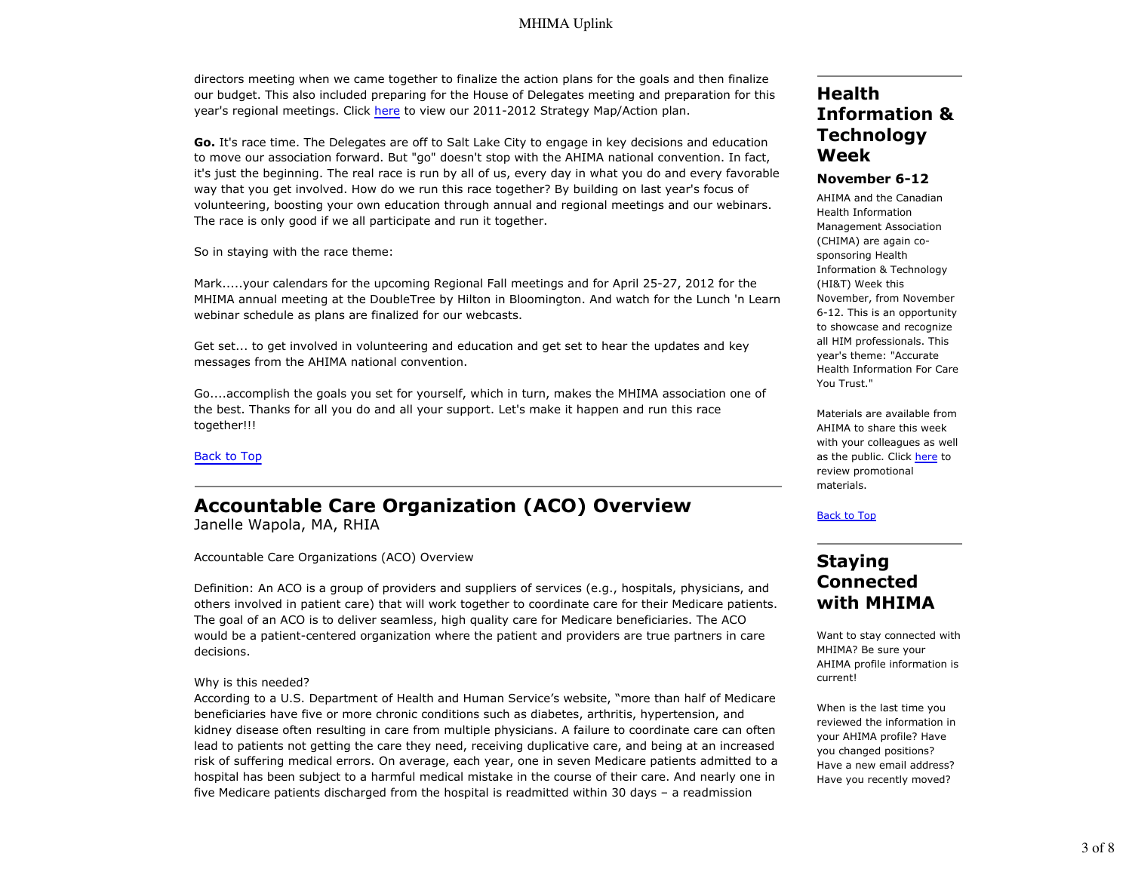directors meeting when we came together to finalize the action plans for the goals and then finalize our budget. This also included preparing for the House of Delegates meeting and preparation for this year's regional meetings. Click here to view our 2011-2012 Strategy Map/Action plan.

**Go.** It's race time. The Delegates are off to Salt Lake City to engage in key decisions and education to move our association forward. But "go" doesn't stop with the AHIMA national convention. In fact, it's just the beginning. The real race is run by all of us, every day in what you do and every favorable way that you get involved. How do we run this race together? By building on last year's focus of volunteering, boosting your own education through annual and regional meetings and our webinars. The race is only good if we all participate and run it together.

So in staying with the race theme:

Mark.....your calendars for the upcoming Regional Fall meetings and for April 25-27, 2012 for the MHIMA annual meeting at the DoubleTree by Hilton in Bloomington. And watch for the Lunch 'n Learn webinar schedule as plans are finalized for our webcasts.

Get set... to get involved in volunteering and education and get set to hear the updates and key messages from the AHIMA national convention.

Go....accomplish the goals you set for yourself, which in turn, makes the MHIMA association one of the best. Thanks for all you do and all your support. Let's make it happen and run this race together!!!

Back to Top

# **Accountable Care Organization (ACO) Overview**

Janelle Wapola, MA, RHIA

Accountable Care Organizations (ACO) Overview

Definition: An ACO is a group of providers and suppliers of services (e.g., hospitals, physicians, and others involved in patient care) that will work together to coordinate care for their Medicare patients. The goal of an ACO is to deliver seamless, high quality care for Medicare beneficiaries. The ACO would be a patient-centered organization where the patient and providers are true partners in care decisions.

#### Why is this needed?

According to a U.S. Department of Health and Human Service's website, "more than half of Medicare beneficiaries have five or more chronic conditions such as diabetes, arthritis, hypertension, and kidney disease often resulting in care from multiple physicians. A failure to coordinate care can often lead to patients not getting the care they need, receiving duplicative care, and being at an increased risk of suffering medical errors. On average, each year, one in seven Medicare patients admitted to a hospital has been subject to a harmful medical mistake in the course of their care. And nearly one in five Medicare patients discharged from the hospital is readmitted within 30 days – a readmission

# **Health Information & Technology Week**

### **November 6-12**

AHIMA and the Canadian Health Information Management Association (CHIMA) are again cosponsoring Health Information & Technology (HI&T) Week this November, from November 6-12. This is an opportunity to showcase and recognize all HIM professionals. This year's theme: "Accurate Health Information For Care You Trust."

Materials are available from AHIMA to share this week with your colleagues as well as the public. Click here to review promotional materials.

#### Back to Top

## **Staying Connected with MHIMA**

Want to stay connected with MHIMA? Be sure your AHIMA profile information is current!

When is the last time you reviewed the information in your AHIMA profile? Have you changed positions? Have a new email address? Have you recently moved?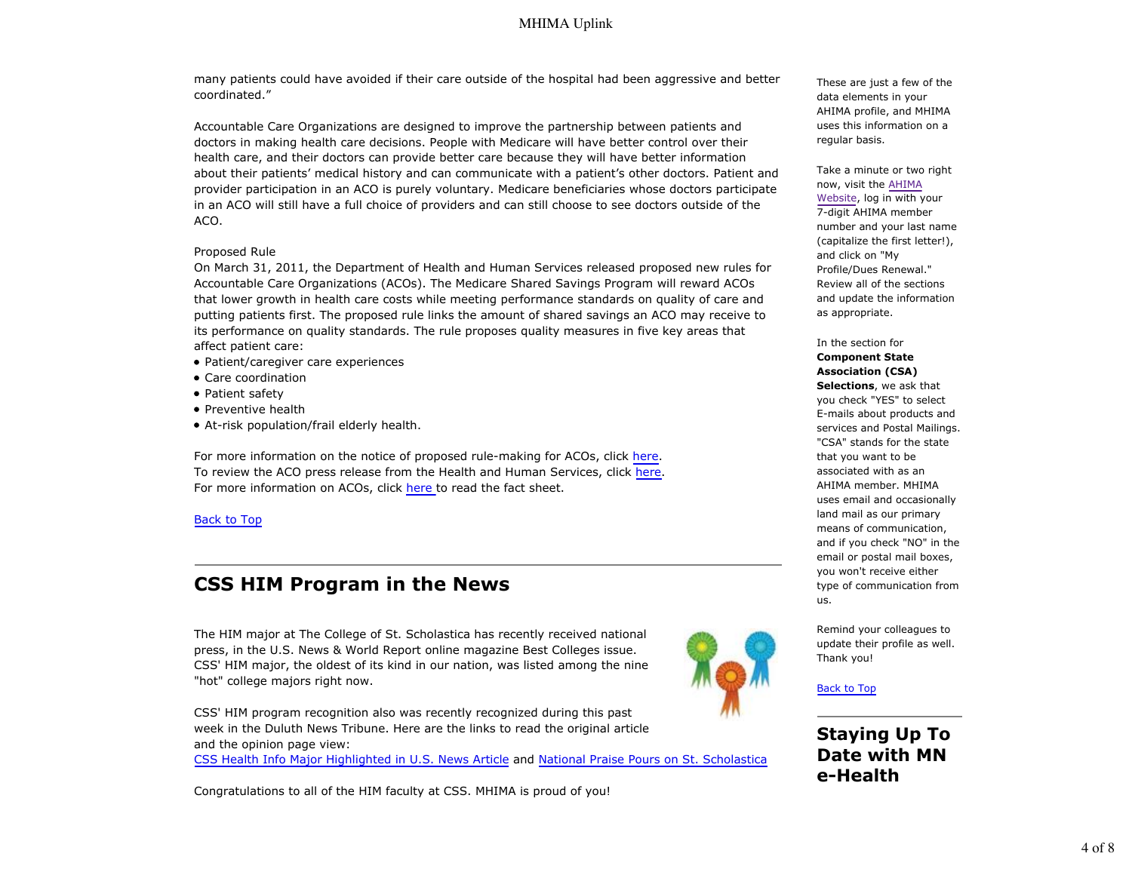many patients could have avoided if their care outside of the hospital had been aggressive and better coordinated."

Accountable Care Organizations are designed to improve the partnership between patients and doctors in making health care decisions. People with Medicare will have better control over their health care, and their doctors can provide better care because they will have better information about their patients' medical history and can communicate with a patient's other doctors. Patient and provider participation in an ACO is purely voluntary. Medicare beneficiaries whose doctors participate in an ACO will still have a full choice of providers and can still choose to see doctors outside of the ACO.

#### Proposed Rule

On March 31, 2011, the Department of Health and Human Services released proposed new rules for Accountable Care Organizations (ACOs). The Medicare Shared Savings Program will reward ACOs that lower growth in health care costs while meeting performance standards on quality of care and putting patients first. The proposed rule links the amount of shared savings an ACO may receive to its performance on quality standards. The rule proposes quality measures in five key areas that affect patient care:

- Patient/caregiver care experiences
- Care coordination
- Patient safety
- Preventive health
- At-risk population/frail elderly health.

For more information on the notice of proposed rule-making for ACOs, click here. To review the ACO press release from the Health and Human Services, click here. For more information on ACOs, click here to read the fact sheet.

#### Back to Top

# **CSS HIM Program in the News**

The HIM major at The College of St. Scholastica has recently received national press, in the U.S. News & World Report online magazine Best Colleges issue. CSS' HIM major, the oldest of its kind in our nation, was listed among the nine "hot" college majors right now.

CSS' HIM program recognition also was recently recognized during this past week in the Duluth News Tribune. Here are the links to read the original article and the opinion page view:

CSS Health Info Major Highlighted in U.S. News Article and National Praise Pours on St. Scholastica

Congratulations to all of the HIM faculty at CSS. MHIMA is proud of you!



These are just a few of the data elements in your AHIMA profile, and MHIMA uses this information on a regular basis.

Take a minute or two right now, visit the AHIMA Website, log in with your 7-digit AHIMA member number and your last name (capitalize the first letter!), and click on "My Profile/Dues Renewal." Review all of the sections and update the information as appropriate.

In the section for **Component State**

**Association (CSA) Selections**, we ask that you check "YES" to select E-mails about products and services and Postal Mailings. "CSA" stands for the state that you want to be associated with as an AHIMA member. MHIMA uses email and occasionally land mail as our primary means of communication, and if you check "NO" in the email or postal mail boxes, you won't receive either type of communication from us.

Remind your colleagues to update their profile as well. Thank you!

Back to Top

**Staying Up To Date with MN e-Health**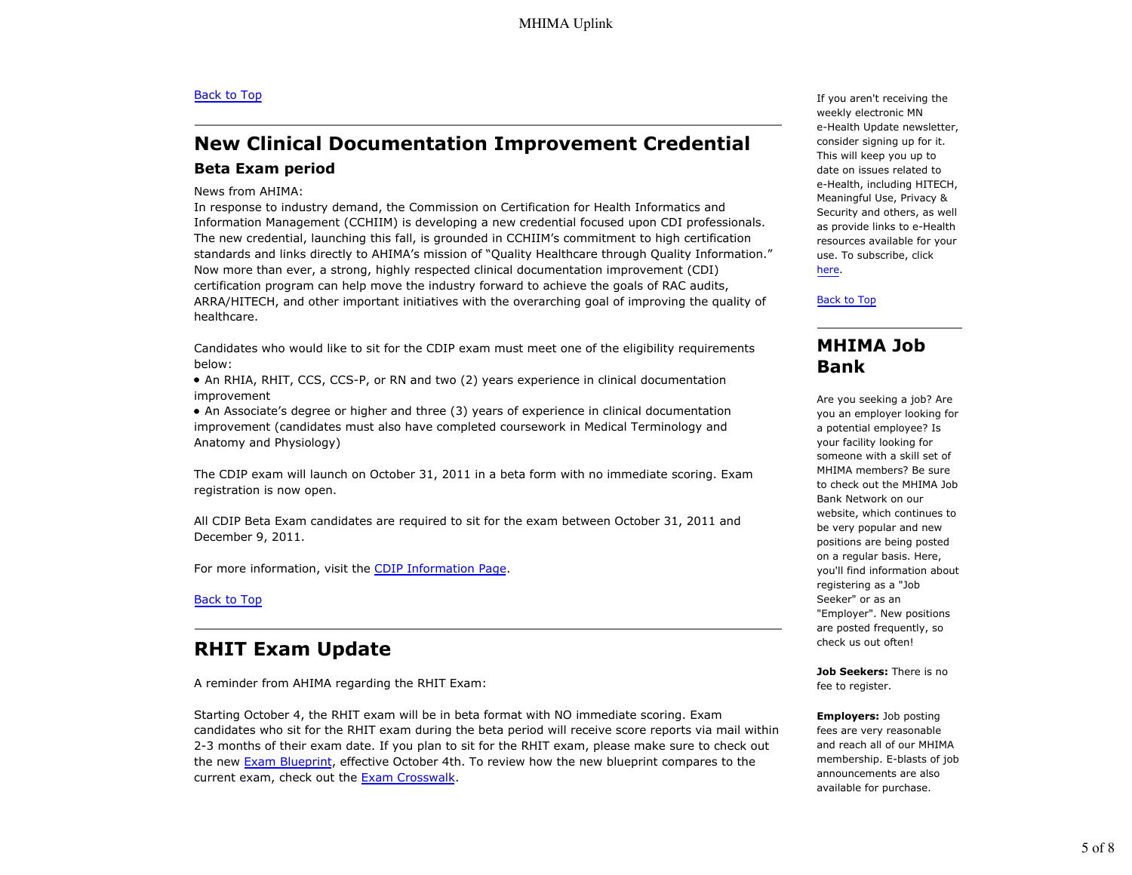#### Back to Top

# **New Clinical Documentation Improvement Credential Beta Exam period**

#### News from AHIMA:

In response to industry demand, the Commission on Certification for Health Informatics and Information Management (CCHIIM) is developing a new credential focused upon CDI professionals. The new credential, launching this fall, is grounded in CCHIIM's commitment to high certification standards and links directly to AHIMA's mission of "Quality Healthcare through Quality Information." Now more than ever, a strong, highly respected clinical documentation improvement (CDI) certification program can help move the industry forward to achieve the goals of RAC audits, ARRA/HITECH, and other important initiatives with the overarching goal of improving the quality of healthcare.

Candidates who would like to sit for the CDIP exam must meet one of the eligibility requirements below:

An RHIA, RHIT, CCS, CCS-P, or RN and two (2) years experience in clinical documentation improvement

An Associate's degree or higher and three (3) years of experience in clinical documentation improvement (candidates must also have completed coursework in Medical Terminology and Anatomy and Physiology)

The CDIP exam will launch on October 31, 2011 in a beta form with no immediate scoring. Exam registration is now open.

All CDIP Beta Exam candidates are required to sit for the exam between October 31, 2011 and December 9, 2011.

For more information, visit the CDIP Information Page.

Back to Top

## **RHIT Exam Update**

A reminder from AHIMA regarding the RHIT Exam:

Starting October 4, the RHIT exam will be in beta format with NO immediate scoring. Exam candidates who sit for the RHIT exam during the beta period will receive score reports via mail within 2-3 months of their exam date. If you plan to sit for the RHIT exam, please make sure to check out the new Exam Blueprint, effective October 4th. To review how the new blueprint compares to the current exam, check out the Exam Crosswalk.

If you aren't receiving the weekly electronic MN e-Health Update newsletter, consider signing up for it. This will keep you up to date on issues related to e-Health, including HITECH, Meaningful Use, Privacy & Security and others, as well as provide links to e-Health resources available for your use. To subscribe, click here.

Back to Top

## **MHIMA Job Bank**

Are you seeking a job? Are you an employer looking for a potential employee? Is your facility looking for someone with a skill set of MHIMA members? Be sure to check out the MHIMA Job Bank Network on our website, which continues to be very popular and new positions are being posted on a regular basis. Here, you'll find information about registering as a "Job Seeker" or as an "Employer". New positions are posted frequently, so check us out often!

**Job Seekers:** There is no fee to register.

**Employers:** Job posting fees are very reasonable and reach all of our MHIMA membership. E-blasts of job announcements are also available for purchase.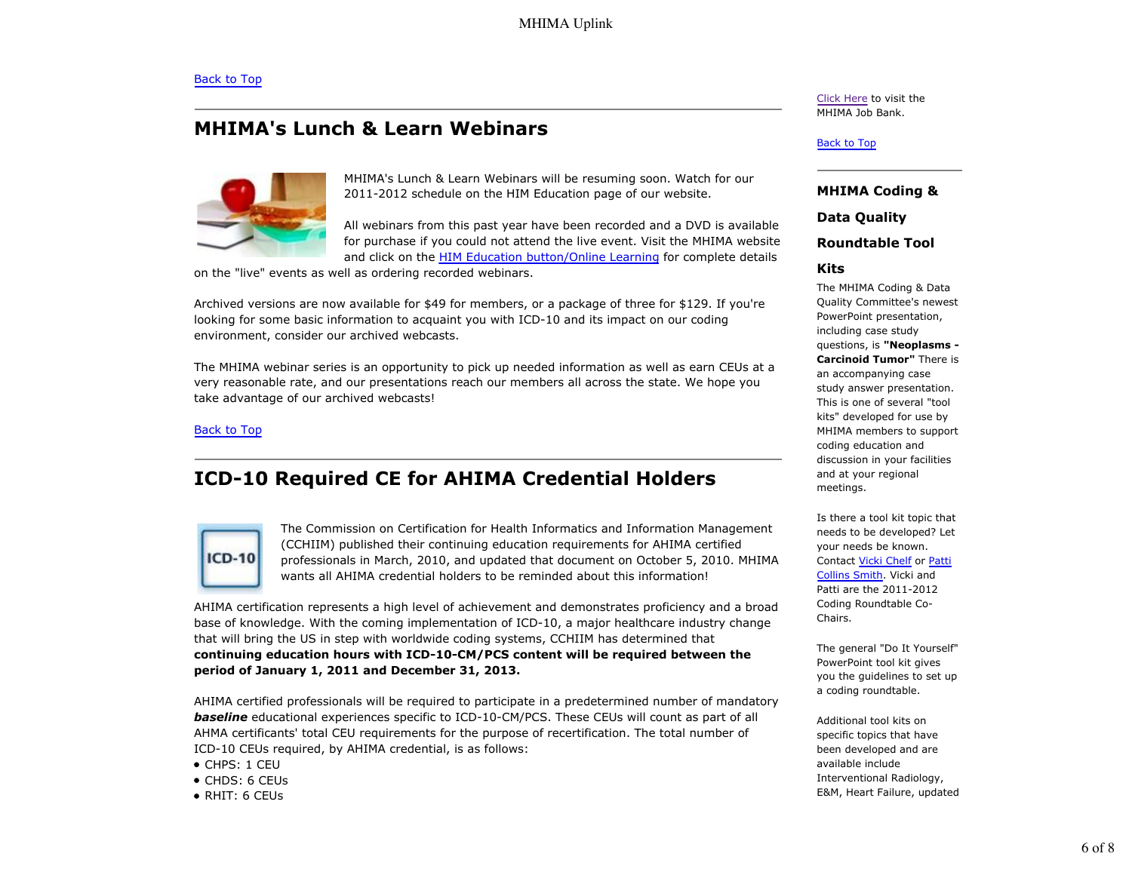# **MHIMA's Lunch & Learn Webinars**



MHIMA's Lunch & Learn Webinars will be resuming soon. Watch for our 2011-2012 schedule on the HIM Education page of our website.

All webinars from this past year have been recorded and a DVD is available for purchase if you could not attend the live event. Visit the MHIMA website and click on the HIM Education button/Online Learning for complete details

on the "live" events as well as ordering recorded webinars.

Archived versions are now available for \$49 for members, or a package of three for \$129. If you're looking for some basic information to acquaint you with ICD-10 and its impact on our coding environment, consider our archived webcasts.

The MHIMA webinar series is an opportunity to pick up needed information as well as earn CEUs at a very reasonable rate, and our presentations reach our members all across the state. We hope you take advantage of our archived webcasts!

Back to Top

# **ICD-10 Required CE for AHIMA Credential Holders**



The Commission on Certification for Health Informatics and Information Management (CCHIIM) published their continuing education requirements for AHIMA certified professionals in March, 2010, and updated that document on October 5, 2010. MHIMA wants all AHIMA credential holders to be reminded about this information!

AHIMA certification represents a high level of achievement and demonstrates proficiency and a broad base of knowledge. With the coming implementation of ICD-10, a major healthcare industry change that will bring the US in step with worldwide coding systems, CCHIIM has determined that **continuing education hours with ICD-10-CM/PCS content will be required between the period of January 1, 2011 and December 31, 2013.**

AHIMA certified professionals will be required to participate in a predetermined number of mandatory **baseline** educational experiences specific to ICD-10-CM/PCS. These CEUs will count as part of all AHMA certificants' total CEU requirements for the purpose of recertification. The total number of ICD-10 CEUs required, by AHIMA credential, is as follows:

- CHPS: 1 CEU
- CHDS: 6 CEUs
- RHIT: 6 CEUs

Click Here to visit the MHIMA Job Bank.

#### Back to Top

#### **MHIMA Coding &**

**Data Quality**

#### **Roundtable Tool**

#### **Kits**

The MHIMA Coding & Data Quality Committee's newest PowerPoint presentation, including case study questions, is **"Neoplasms - Carcinoid Tumor"** There is an accompanying case study answer presentation. This is one of several "tool kits" developed for use by MHIMA members to support coding education and discussion in your facilities and at your regional meetings.

Is there a tool kit topic that needs to be developed? Let your needs be known. Contact Vicki Chelf or Patti Collins Smith. Vicki and Patti are the 2011-2012 Coding Roundtable Co-Chairs.

The general "Do It Yourself" PowerPoint tool kit gives you the guidelines to set up a coding roundtable.

Additional tool kits on specific topics that have been developed and are available include Interventional Radiology, E&M, Heart Failure, updated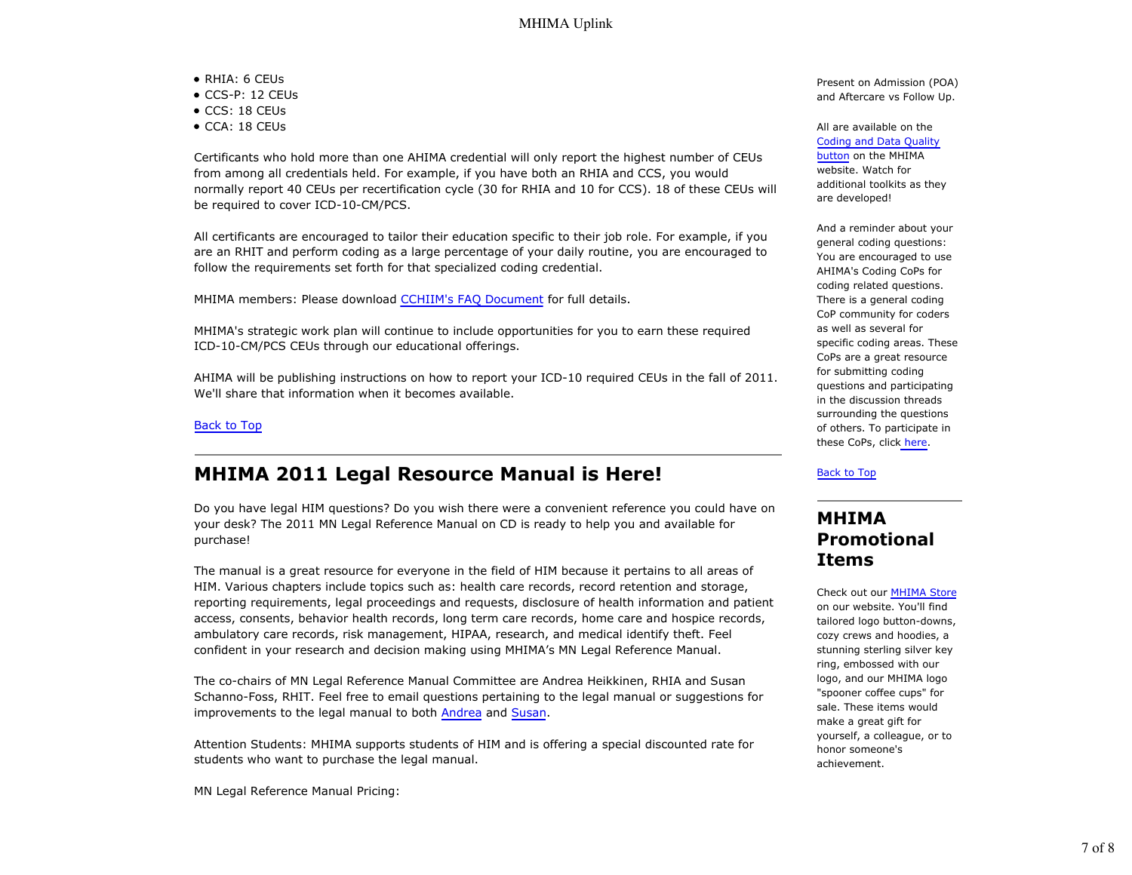- RHIA: 6 CEUs
- CCS-P: 12 CEUs
- CCS: 18 CEUs
- CCA: 18 CEUs

Certificants who hold more than one AHIMA credential will only report the highest number of CEUs from among all credentials held. For example, if you have both an RHIA and CCS, you would normally report 40 CEUs per recertification cycle (30 for RHIA and 10 for CCS). 18 of these CEUs will be required to cover ICD-10-CM/PCS.

All certificants are encouraged to tailor their education specific to their job role. For example, if you are an RHIT and perform coding as a large percentage of your daily routine, you are encouraged to follow the requirements set forth for that specialized coding credential.

MHIMA members: Please download CCHIIM's FAQ Document for full details.

MHIMA's strategic work plan will continue to include opportunities for you to earn these required ICD-10-CM/PCS CEUs through our educational offerings.

AHIMA will be publishing instructions on how to report your ICD-10 required CEUs in the fall of 2011. We'll share that information when it becomes available.

### Back to Top

# **MHIMA 2011 Legal Resource Manual is Here!**

Do you have legal HIM questions? Do you wish there were a convenient reference you could have on your desk? The 2011 MN Legal Reference Manual on CD is ready to help you and available for purchase!

The manual is a great resource for everyone in the field of HIM because it pertains to all areas of HIM. Various chapters include topics such as: health care records, record retention and storage, reporting requirements, legal proceedings and requests, disclosure of health information and patient access, consents, behavior health records, long term care records, home care and hospice records, ambulatory care records, risk management, HIPAA, research, and medical identify theft. Feel confident in your research and decision making using MHIMA's MN Legal Reference Manual.

The co-chairs of MN Legal Reference Manual Committee are Andrea Heikkinen, RHIA and Susan Schanno-Foss, RHIT. Feel free to email questions pertaining to the legal manual or suggestions for improvements to the legal manual to both Andrea and Susan.

Attention Students: MHIMA supports students of HIM and is offering a special discounted rate for students who want to purchase the legal manual.

MN Legal Reference Manual Pricing:

Present on Admission (POA) and Aftercare vs Follow Up.

All are available on the Coding and Data Quality button on the MHIMA website. Watch for additional toolkits as they are developed!

And a reminder about your general coding questions: You are encouraged to use AHIMA's Coding CoPs for coding related questions. There is a general coding CoP community for coders as well as several for specific coding areas. These CoPs are a great resource for submitting coding questions and participating in the discussion threads surrounding the questions of others. To participate in these CoPs, click here.

Back to Top

## **MHIMA Promotional Items**

Check out our MHIMA Store on our website. You'll find tailored logo button-downs, cozy crews and hoodies, a stunning sterling silver key ring, embossed with our logo, and our MHIMA logo "spooner coffee cups" for sale. These items would make a great gift for yourself, a colleague, or to honor someone's achievement.